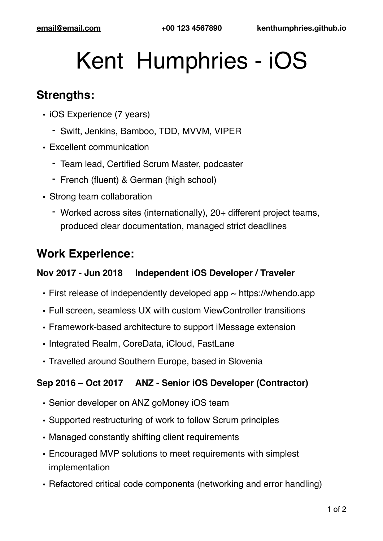# Kent Humphries - iOS

### **Strengths:**

- iOS Experience (7 years)
	- Swift, Jenkins, Bamboo, TDD, MVVM, VIPER
- Excellent communication
	- Team lead, Certified Scrum Master, podcaster
	- French (fluent) & German (high school)
- Strong team collaboration
	- Worked across sites (internationally), 20+ different project teams, produced clear documentation, managed strict deadlines

## **Work Experience:**

#### **Nov 2017 - Jun 2018 Independent iOS Developer / Traveler**

- First release of independently developed app  $\sim$  https://whendo.app
- Full screen, seamless UX with custom ViewController transitions
- Framework-based architecture to support iMessage extension
- Integrated Realm, CoreData, iCloud, FastLane
- Travelled around Southern Europe, based in Slovenia

#### **Sep 2016 – Oct 2017 ANZ - Senior iOS Developer (Contractor)**

- Senior developer on ANZ goMoney iOS team
- Supported restructuring of work to follow Scrum principles
- Managed constantly shifting client requirements
- Encouraged MVP solutions to meet requirements with simplest implementation
- Refactored critical code components (networking and error handling)